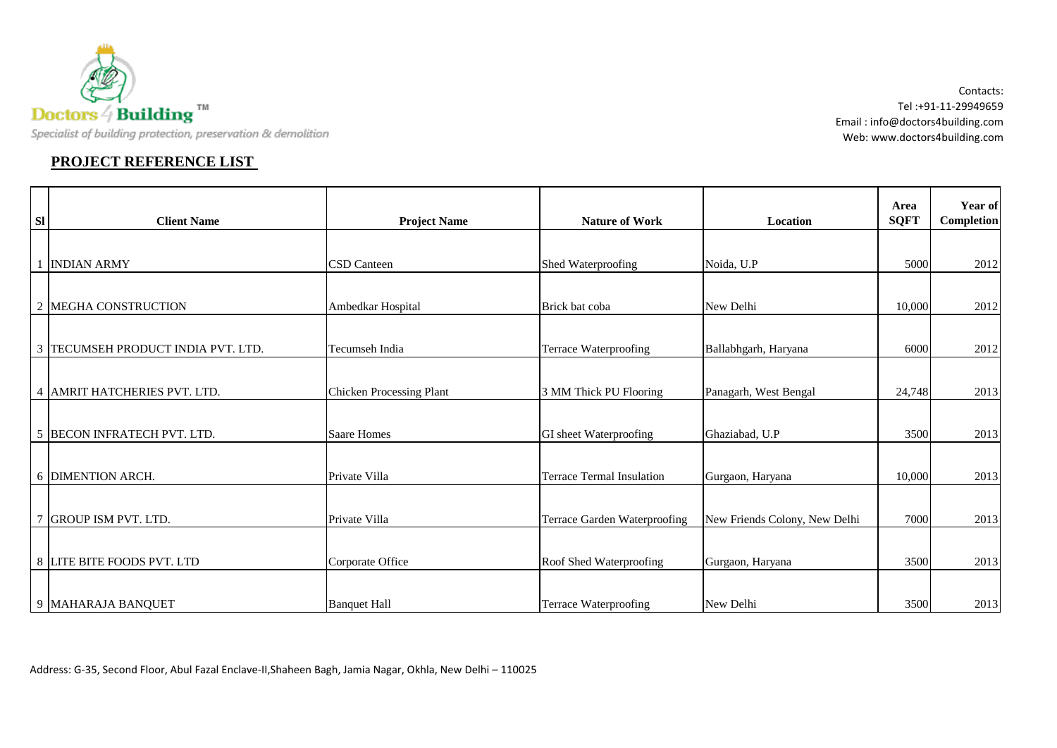

## **PROJECT REFERENCE LIST**

Contacts: Tel :+91-11-29949659 Email : info@doctors4building.com Web: www.doctors4building.com

| <b>SI</b>      | <b>Client Name</b>               | <b>Project Name</b>             | <b>Nature of Work</b>            | Location                      | Area<br><b>SQFT</b> | Year of<br><b>Completion</b> |
|----------------|----------------------------------|---------------------------------|----------------------------------|-------------------------------|---------------------|------------------------------|
|                |                                  |                                 |                                  |                               |                     |                              |
|                | <b>INDIAN ARMY</b>               | <b>CSD</b> Canteen              | Shed Waterproofing               | Noida, U.P                    | 5000                | 2012                         |
|                |                                  |                                 |                                  |                               |                     |                              |
| $\overline{2}$ | <b>MEGHA CONSTRUCTION</b>        | Ambedkar Hospital               | Brick bat coba                   | New Delhi                     | 10,000              | 2012                         |
|                |                                  |                                 |                                  |                               |                     |                              |
| 3              | TECUMSEH PRODUCT INDIA PVT. LTD. | Tecumseh India                  | <b>Terrace Waterproofing</b>     | Ballabhgarh, Haryana          | 6000                | 2012                         |
|                |                                  |                                 |                                  |                               |                     |                              |
| $\overline{4}$ | AMRIT HATCHERIES PVT. LTD.       | <b>Chicken Processing Plant</b> | 3 MM Thick PU Flooring           | Panagarh, West Bengal         | 24,748              | 2013                         |
|                |                                  |                                 |                                  |                               |                     |                              |
|                | 5 BECON INFRATECH PVT. LTD.      | <b>Saare Homes</b>              | GI sheet Waterproofing           | Ghaziabad, U.P                | 3500                | 2013                         |
|                |                                  |                                 |                                  |                               |                     |                              |
|                | 6 DIMENTION ARCH.                | Private Villa                   | <b>Terrace Termal Insulation</b> | Gurgaon, Haryana              | 10,000              | 2013                         |
|                |                                  |                                 |                                  |                               |                     |                              |
| $\overline{7}$ | <b>GROUP ISM PVT. LTD.</b>       | Private Villa                   | Terrace Garden Waterproofing     | New Friends Colony, New Delhi | 7000                | 2013                         |
|                |                                  |                                 |                                  |                               |                     |                              |
|                | 8 LITE BITE FOODS PVT. LTD       | Corporate Office                | Roof Shed Waterproofing          | Gurgaon, Haryana              | 3500                | 2013                         |
|                |                                  |                                 |                                  |                               |                     |                              |
|                | 9 MAHARAJA BANQUET               | <b>Banquet Hall</b>             | <b>Terrace Waterproofing</b>     | New Delhi                     | 3500                | 2013                         |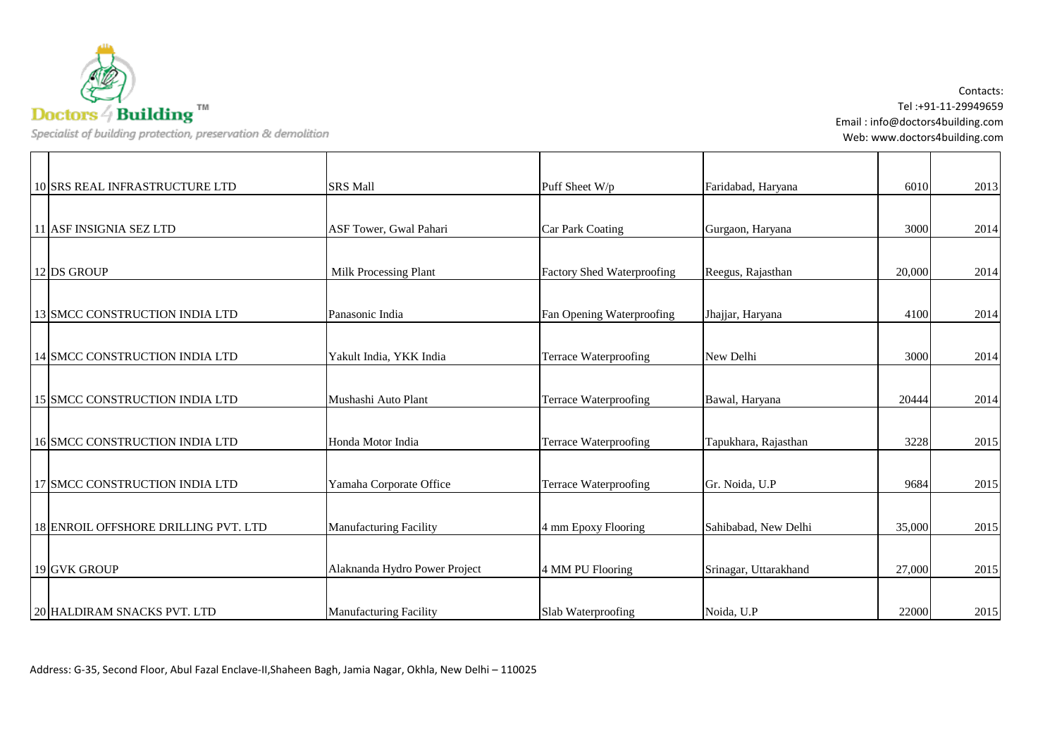

| 10 SRS REAL INFRASTRUCTURE LTD        | <b>SRS Mall</b>               | Puff Sheet W/p                    | Faridabad, Haryana    | 6010   | 2013 |
|---------------------------------------|-------------------------------|-----------------------------------|-----------------------|--------|------|
|                                       |                               |                                   |                       |        |      |
| 11 ASF INSIGNIA SEZ LTD               | ASF Tower, Gwal Pahari        | <b>Car Park Coating</b>           | Gurgaon, Haryana      | 3000   | 2014 |
|                                       |                               |                                   |                       |        |      |
| 12 DS GROUP                           | Milk Processing Plant         | <b>Factory Shed Waterproofing</b> | Reegus, Rajasthan     | 20,000 | 2014 |
|                                       |                               |                                   |                       |        |      |
| 13 SMCC CONSTRUCTION INDIA LTD        | Panasonic India               | Fan Opening Waterproofing         | Jhajjar, Haryana      | 4100   | 2014 |
|                                       |                               |                                   |                       |        |      |
| 14 SMCC CONSTRUCTION INDIA LTD        | Yakult India, YKK India       | <b>Terrace Waterproofing</b>      | New Delhi             | 3000   | 2014 |
|                                       |                               |                                   |                       |        |      |
| 15 SMCC CONSTRUCTION INDIA LTD        | Mushashi Auto Plant           | <b>Terrace Waterproofing</b>      | Bawal, Haryana        | 20444  | 2014 |
|                                       |                               |                                   |                       |        |      |
| <b>16 SMCC CONSTRUCTION INDIA LTD</b> | Honda Motor India             | Terrace Waterproofing             | Tapukhara, Rajasthan  | 3228   | 2015 |
|                                       |                               |                                   |                       |        |      |
| 17 SMCC CONSTRUCTION INDIA LTD        | Yamaha Corporate Office       | <b>Terrace Waterproofing</b>      | Gr. Noida, U.P        | 9684   | 2015 |
|                                       |                               |                                   |                       |        |      |
| 18 ENROIL OFFSHORE DRILLING PVT. LTD  | <b>Manufacturing Facility</b> | 4 mm Epoxy Flooring               | Sahibabad, New Delhi  | 35,000 | 2015 |
|                                       |                               |                                   |                       |        |      |
| 19 GVK GROUP                          | Alaknanda Hydro Power Project | 4 MM PU Flooring                  | Srinagar, Uttarakhand | 27,000 | 2015 |
|                                       |                               |                                   |                       |        |      |
| 20 HALDIRAM SNACKS PVT. LTD           | <b>Manufacturing Facility</b> | Slab Waterproofing                | Noida, U.P            | 22000  | 2015 |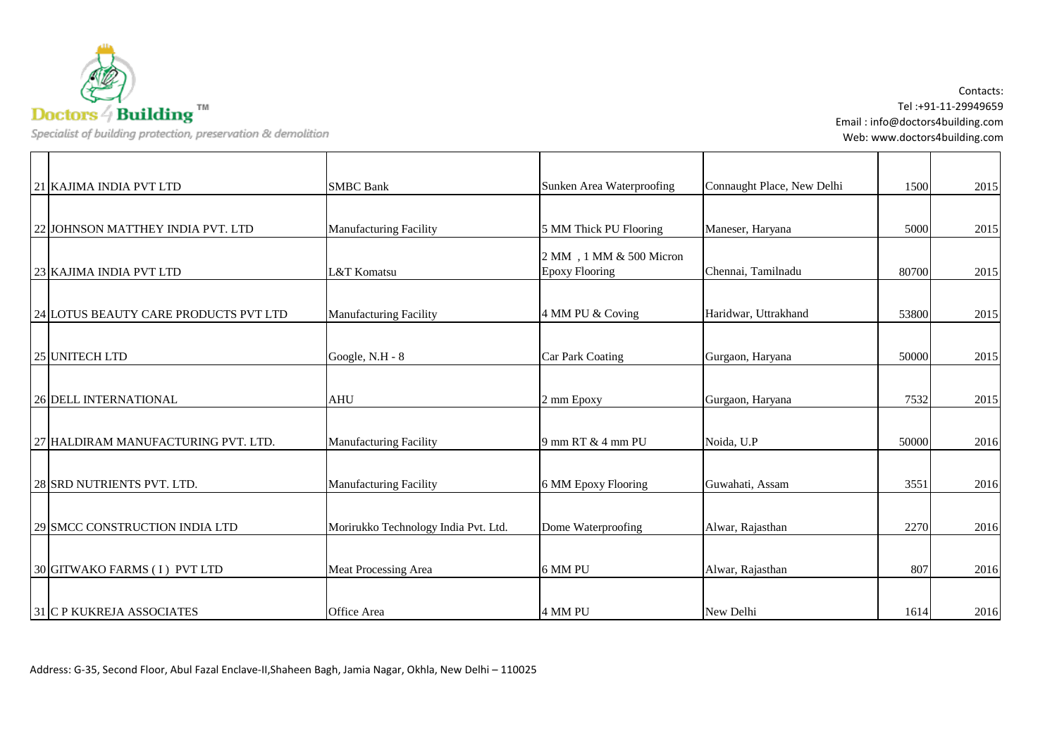$\textbf{D} \textbf{octors} \, \overset{\sim}{\neq} \, \textbf{Building}$ 

Specialist of building protection, preservation & demolition

Contacts: Tel :+91-11-29949659 Email : info@doctors4building.com Web: www.doctors4building.com

| 21 KAJIMA INDIA PVT LTD               | <b>SMBC Bank</b>                     | Sunken Area Waterproofing | Connaught Place, New Delhi | 1500  | 2015 |
|---------------------------------------|--------------------------------------|---------------------------|----------------------------|-------|------|
|                                       |                                      |                           |                            |       |      |
| 22 JOHNSON MATTHEY INDIA PVT. LTD     | <b>Manufacturing Facility</b>        | 5 MM Thick PU Flooring    | Maneser, Haryana           | 5000  | 2015 |
|                                       |                                      | 2 MM, 1 MM & 500 Micron   |                            |       |      |
| 23 KAJIMA INDIA PVT LTD               | L&T Komatsu                          | <b>Epoxy Flooring</b>     | Chennai, Tamilnadu         | 80700 | 2015 |
|                                       |                                      |                           |                            |       |      |
| 24 LOTUS BEAUTY CARE PRODUCTS PVT LTD | Manufacturing Facility               | 4 MM PU & Coving          | Haridwar, Uttrakhand       | 53800 | 2015 |
|                                       |                                      |                           |                            |       |      |
| 25 UNITECH LTD                        | Google, N.H - 8                      | Car Park Coating          | Gurgaon, Haryana           | 50000 | 2015 |
|                                       |                                      |                           |                            |       |      |
| <b>26 DELL INTERNATIONAL</b>          | <b>AHU</b>                           | 2 mm Epoxy                | Gurgaon, Haryana           | 7532  | 2015 |
|                                       |                                      |                           |                            |       |      |
| 27 HALDIRAM MANUFACTURING PVT. LTD.   | Manufacturing Facility               | 9 mm RT & 4 mm PU         | Noida, U.P                 | 50000 | 2016 |
|                                       |                                      |                           |                            |       |      |
| 28 SRD NUTRIENTS PVT. LTD.            | Manufacturing Facility               | 6 MM Epoxy Flooring       | Guwahati, Assam            | 3551  | 2016 |
|                                       |                                      |                           |                            |       |      |
| 29 SMCC CONSTRUCTION INDIA LTD        | Morirukko Technology India Pvt. Ltd. | Dome Waterproofing        | Alwar, Rajasthan           | 2270  | 2016 |
|                                       |                                      |                           |                            |       |      |
| 30 GITWAKO FARMS (I) PVT LTD          | Meat Processing Area                 | 6 MM PU                   | Alwar, Rajasthan           | 807   | 2016 |
|                                       |                                      |                           |                            |       |      |
| <b>31 C P KUKREJA ASSOCIATES</b>      | Office Area                          | 4 MM PU                   | New Delhi                  | 1614  | 2016 |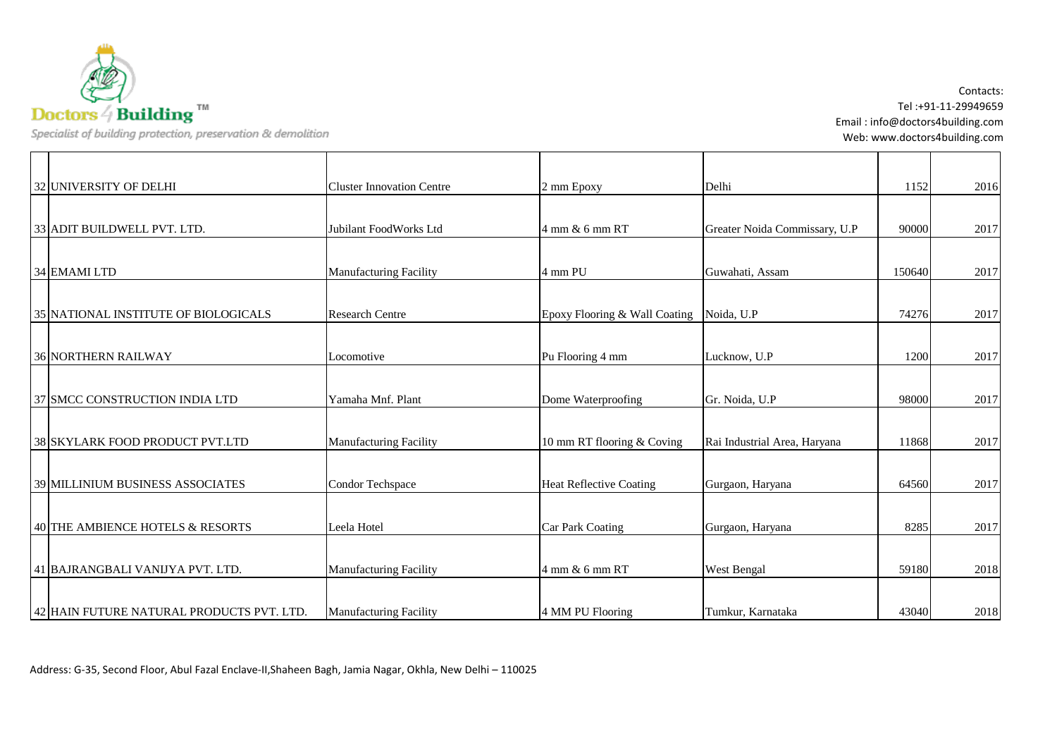

Contacts: Tel :+91-11-29949659 Email : info@doctors4building.com Web: www.doctors4building.com

| 32 UNIVERSITY OF DELHI                    | <b>Cluster Innovation Centre</b> | 2 mm Epoxy                     | Delhi                         | 1152   | 2016 |
|-------------------------------------------|----------------------------------|--------------------------------|-------------------------------|--------|------|
|                                           |                                  |                                |                               |        |      |
| 33 ADIT BUILDWELL PVT. LTD.               | Jubilant FoodWorks Ltd           | 4 mm & 6 mm RT                 | Greater Noida Commissary, U.P | 90000  | 2017 |
|                                           |                                  |                                |                               |        |      |
| 34 EMAMI LTD                              | <b>Manufacturing Facility</b>    | 4 mm PU                        | Guwahati, Assam               | 150640 | 2017 |
|                                           |                                  |                                |                               |        |      |
| 35 NATIONAL INSTITUTE OF BIOLOGICALS      | <b>Research Centre</b>           | Epoxy Flooring & Wall Coating  | Noida, U.P                    | 74276  | 2017 |
|                                           |                                  |                                |                               |        |      |
| <b>36 NORTHERN RAILWAY</b>                | Locomotive                       | Pu Flooring 4 mm               | Lucknow, U.P                  | 1200   | 2017 |
|                                           |                                  |                                |                               |        |      |
| 37 SMCC CONSTRUCTION INDIA LTD            | Yamaha Mnf. Plant                | Dome Waterproofing             | Gr. Noida, U.P                | 98000  | 2017 |
|                                           |                                  |                                |                               |        |      |
| 38 SKYLARK FOOD PRODUCT PVT.LTD           | Manufacturing Facility           | 10 mm RT flooring & Coving     | Rai Industrial Area, Haryana  | 11868  | 2017 |
|                                           |                                  |                                |                               |        |      |
| <b>39 MILLINIUM BUSINESS ASSOCIATES</b>   | Condor Techspace                 | <b>Heat Reflective Coating</b> | Gurgaon, Haryana              | 64560  | 2017 |
|                                           |                                  |                                |                               |        |      |
| 40 THE AMBIENCE HOTELS & RESORTS          | Leela Hotel                      | <b>Car Park Coating</b>        |                               | 8285   | 2017 |
|                                           |                                  |                                | Gurgaon, Haryana              |        |      |
|                                           |                                  |                                |                               |        |      |
| 41 BAJRANGBALI VANIJYA PVT. LTD.          | <b>Manufacturing Facility</b>    | 4 mm & 6 mm RT                 | West Bengal                   | 59180  | 2018 |
|                                           |                                  |                                |                               |        |      |
| 42 HAIN FUTURE NATURAL PRODUCTS PVT. LTD. | <b>Manufacturing Facility</b>    | 4 MM PU Flooring               | Tumkur, Karnataka             | 43040  | 2018 |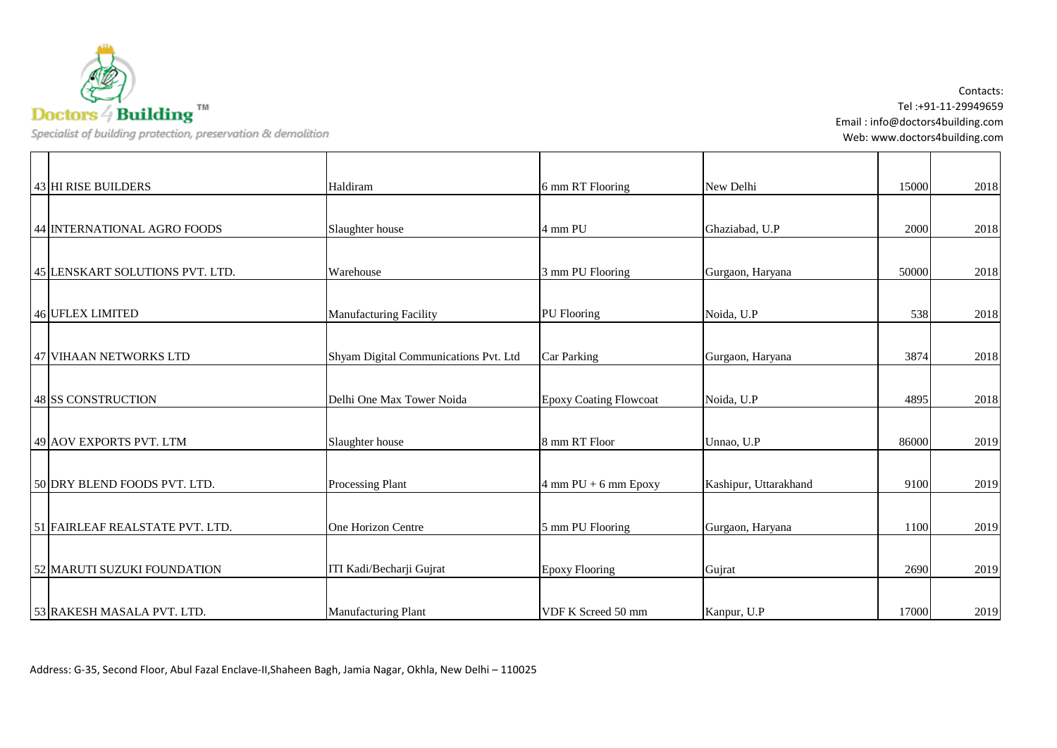$\textbf{D} \textbf{octors} \, \overset{\sim}{\neq} \, \textbf{Building}$ 

Specialist of building protection, preservation & demolition

Contacts: Tel :+91-11-29949659 Email : info@doctors4building.com Web: www.doctors4building.com

| 43 HI RISE BUILDERS             | Haldiram                              | 6 mm RT Flooring                         | New Delhi             | 15000 | 2018 |
|---------------------------------|---------------------------------------|------------------------------------------|-----------------------|-------|------|
|                                 |                                       |                                          |                       |       |      |
| 44 INTERNATIONAL AGRO FOODS     | Slaughter house                       | 4 mm PU                                  | Ghaziabad, U.P        | 2000  | 2018 |
|                                 |                                       |                                          |                       |       |      |
| 45 LENSKART SOLUTIONS PVT. LTD. | Warehouse                             | 3 mm PU Flooring                         | Gurgaon, Haryana      | 50000 | 2018 |
|                                 |                                       |                                          |                       |       |      |
| 46 UFLEX LIMITED                | <b>Manufacturing Facility</b>         | <b>PU</b> Flooring                       | Noida, U.P            | 538   | 2018 |
|                                 |                                       |                                          |                       |       |      |
| 47 VIHAAN NETWORKS LTD          | Shyam Digital Communications Pvt. Ltd | <b>Car Parking</b>                       | Gurgaon, Haryana      | 3874  | 2018 |
| <b>48 SS CONSTRUCTION</b>       | Delhi One Max Tower Noida             | <b>Epoxy Coating Flowcoat</b>            | Noida, U.P            | 4895  | 2018 |
| 49 AOV EXPORTS PVT. LTM         | Slaughter house                       | 8 mm RT Floor                            | Unnao, U.P            | 86000 | 2019 |
| 50 DRY BLEND FOODS PVT. LTD.    | Processing Plant                      | $4 \text{ mm } PU + 6 \text{ mm } Epoxy$ | Kashipur, Uttarakhand | 9100  | 2019 |
| 51 FAIRLEAF REALSTATE PVT. LTD. | One Horizon Centre                    | 5 mm PU Flooring                         | Gurgaon, Haryana      | 1100  | 2019 |
| 52 MARUTI SUZUKI FOUNDATION     | ITI Kadi/Becharji Gujrat              | <b>Epoxy Flooring</b>                    | Gujrat                | 2690  | 2019 |
| 53 RAKESH MASALA PVT. LTD.      | <b>Manufacturing Plant</b>            | VDF K Screed 50 mm                       | Kanpur, U.P           | 17000 | 2019 |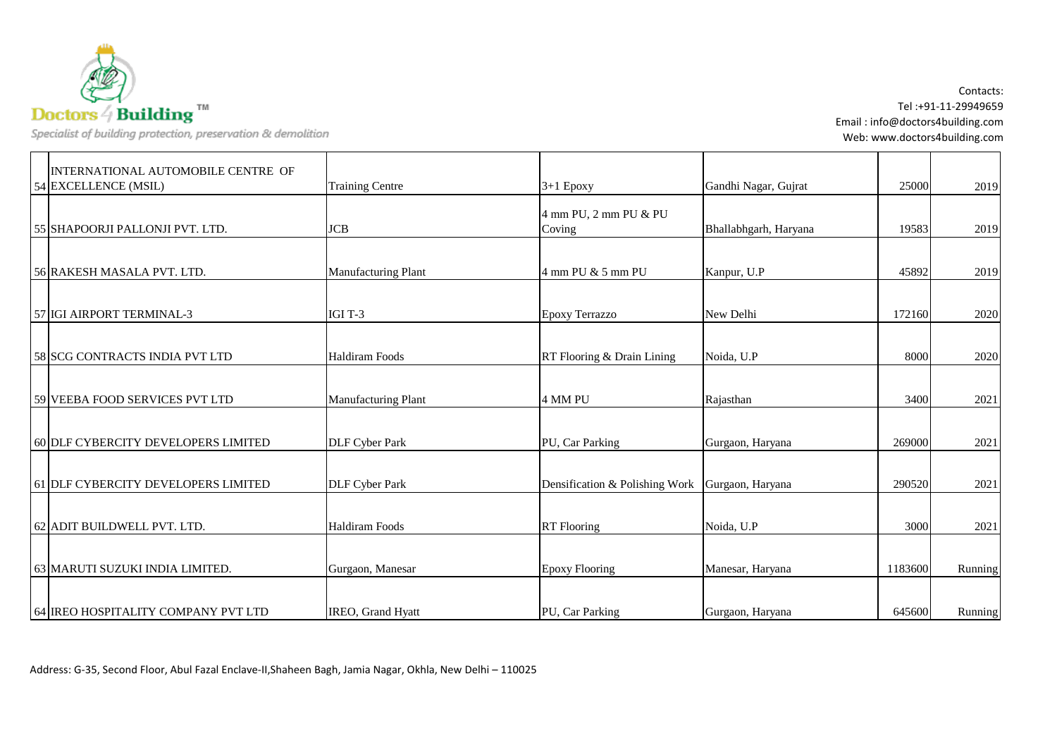

Contacts: Tel :+91-11-29949659 Email : info@doctors4building.com Web: www.doctors4building.com

| INTERNATIONAL AUTOMOBILE CENTRE OF  |                            |                                 |                       |         |         |
|-------------------------------------|----------------------------|---------------------------------|-----------------------|---------|---------|
| 54 EXCELLENCE (MSIL)                | <b>Training Centre</b>     | $3+1$ Epoxy                     | Gandhi Nagar, Gujrat  | 25000   | 2019    |
| 55 SHAPOORJI PALLONJI PVT. LTD.     | <b>JCB</b>                 | 4 mm PU, 2 mm PU & PU<br>Coving | Bhallabhgarh, Haryana | 19583   | 2019    |
|                                     |                            |                                 |                       |         |         |
| 56 RAKESH MASALA PVT. LTD.          | <b>Manufacturing Plant</b> | 4 mm PU & 5 mm PU               | Kanpur, U.P           | 45892   | 2019    |
| 57 IGI AIRPORT TERMINAL-3           | IGI T-3                    | <b>Epoxy Terrazzo</b>           | New Delhi             | 172160  | 2020    |
| 58 SCG CONTRACTS INDIA PVT LTD      | <b>Haldiram Foods</b>      | RT Flooring & Drain Lining      | Noida, U.P            | 8000    | 2020    |
| 59 VEEBA FOOD SERVICES PVT LTD      | <b>Manufacturing Plant</b> | 4 MM PU                         | Rajasthan             | 3400    | 2021    |
| 60 DLF CYBERCITY DEVELOPERS LIMITED | <b>DLF Cyber Park</b>      | PU, Car Parking                 | Gurgaon, Haryana      | 269000  | 2021    |
| 61 DLF CYBERCITY DEVELOPERS LIMITED | <b>DLF Cyber Park</b>      | Densification & Polishing Work  | Gurgaon, Haryana      | 290520  | 2021    |
| 62 ADIT BUILDWELL PVT. LTD.         | <b>Haldiram Foods</b>      | <b>RT</b> Flooring              | Noida, U.P            | 3000    | 2021    |
| 63 MARUTI SUZUKI INDIA LIMITED.     | Gurgaon, Manesar           | <b>Epoxy Flooring</b>           | Manesar, Haryana      | 1183600 | Running |
| 64 IREO HOSPITALITY COMPANY PVT LTD | <b>IREO.</b> Grand Hyatt   | PU, Car Parking                 | Gurgaon, Haryana      | 645600  | Running |